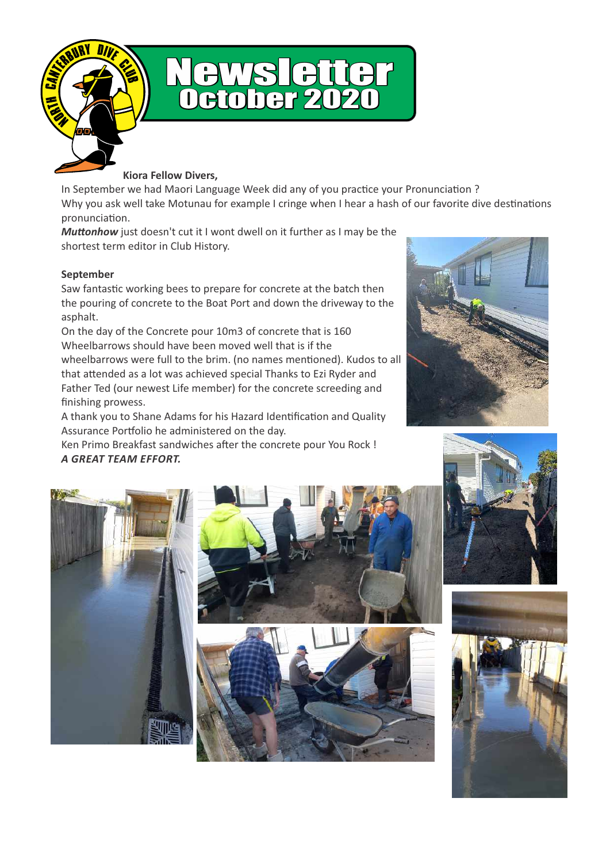



**Kiora Fellow Divers,** 

In September we had Maori Language Week did any of you practice your Pronunciation ? Why you ask well take Motunau for example I cringe when I hear a hash of our favorite dive destinations pronunciation.

*Muttonhow* just doesn't cut it I wont dwell on it further as I may be the shortest term editor in Club History.

#### **September**

Saw fantastic working bees to prepare for concrete at the batch then the pouring of concrete to the Boat Port and down the driveway to the asphalt.

On the day of the Concrete pour 10m3 of concrete that is 160 Wheelbarrows should have been moved well that is if the wheelbarrows were full to the brim. (no names mentioned). Kudos to all that attended as a lot was achieved special Thanks to Ezi Ryder and Father Ted (our newest Life member) for the concrete screeding and finishing prowess.

A thank you to Shane Adams for his Hazard Identification and Quality Assurance Portfolio he administered on the day.

Ken Primo Breakfast sandwiches after the concrete pour You Rock ! *A GREAT TEAM EFFORT.* 











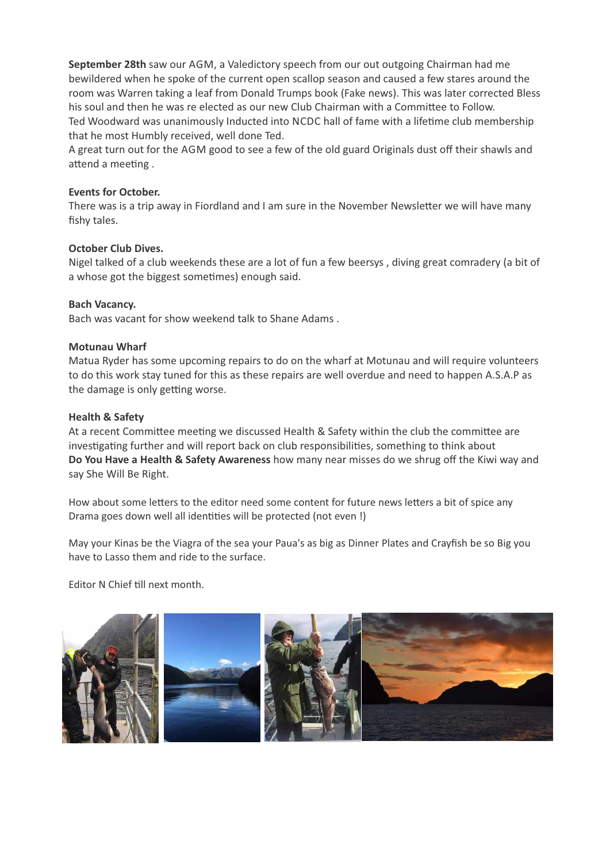**September 28th** saw our AGM, a Valedictory speech from our out outgoing Chairman had me bewildered when he spoke of the current open scallop season and caused a few stares around the room was Warren taking a leaf from Donald Trumps book (Fake news). This was later corrected Bless his soul and then he was re elected as our new Club Chairman with a Committee to Follow. Ted Woodward was unanimously Inducted into NCDC hall of fame with a lifetime club membership that he most Humbly received, well done Ted.

A great turn out for the AGM good to see a few of the old guard Originals dust off their shawls and attend a meeting.

#### **Events for October.**

There was is a trip away in Fiordland and I am sure in the November Newsletter we will have many fishy tales.

#### **October Club Dives.**

Nigel talked of a club weekends these are a lot of fun a few beersys , diving great comradery (a bit of a whose got the biggest sometimes) enough said.

#### **Bach Vacancy.**

Bach was vacant for show weekend talk to Shane Adams .

#### **Motunau Wharf**

Matua Ryder has some upcoming repairs to do on the wharf at Motunau and will require volunteers to do this work stay tuned for this as these repairs are well overdue and need to happen A.S.A.P as the damage is only getting worse.

#### **Health & Safety**

At a recent Committee meeting we discussed Health & Safety within the club the committee are investigating further and will report back on club responsibilities, something to think about **Do You Have a Health & Safety Awareness** how many near misses do we shrug off the Kiwi way and say She Will Be Right.

How about some letters to the editor need some content for future news letters a bit of spice any Drama goes down well all identities will be protected (not even !)

May your Kinas be the Viagra of the sea your Paua's as big as Dinner Plates and Crayfish be so Big you have to Lasso them and ride to the surface.

Editor N Chief till next month.

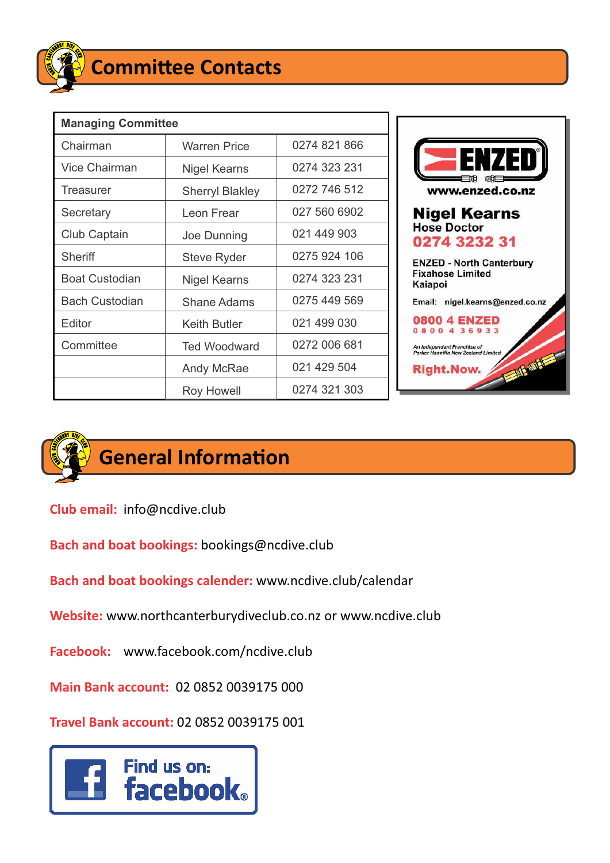

| <b>Managing Committee</b> |                        |              |
|---------------------------|------------------------|--------------|
| Chairman                  | <b>Warren Price</b>    | 0274 821 866 |
| <b>Vice Chairman</b>      | Nigel Kearns           | 0274 323 231 |
| Treasurer                 | <b>Sherryl Blakley</b> | 0272 746 512 |
| Secretary                 | Leon Frear             | 027 560 6902 |
| Club Captain              | Joe Dunning            | 021 449 903  |
| Sheriff                   | <b>Steve Ryder</b>     | 0275 924 106 |
| <b>Boat Custodian</b>     | Nigel Kearns           | 0274 323 231 |
| <b>Bach Custodian</b>     | Shane Adams            | 0275 449 569 |
| Editor                    | Keith Butler           | 021 499 030  |
| Committee                 | <b>Ted Woodward</b>    | 0272 006 681 |
|                           | Andy McRae             | 021 429 504  |
|                           | <b>Roy Howell</b>      | 0274 321 303 |





## **General Information**

**Club email:** info@ncdive.club

**Bach and boat bookings:** bookings@ncdive.club

**Bach and boat bookings calender:** www.ncdive.club/calendar

**Website:** www.northcanterburydiveclub.co.nz or www.ncdive.club

**Facebook:** www.facebook.com/ncdive.club

**Main Bank account:** 02 0852 0039175 000

**Travel Bank account:** 02 0852 0039175 001

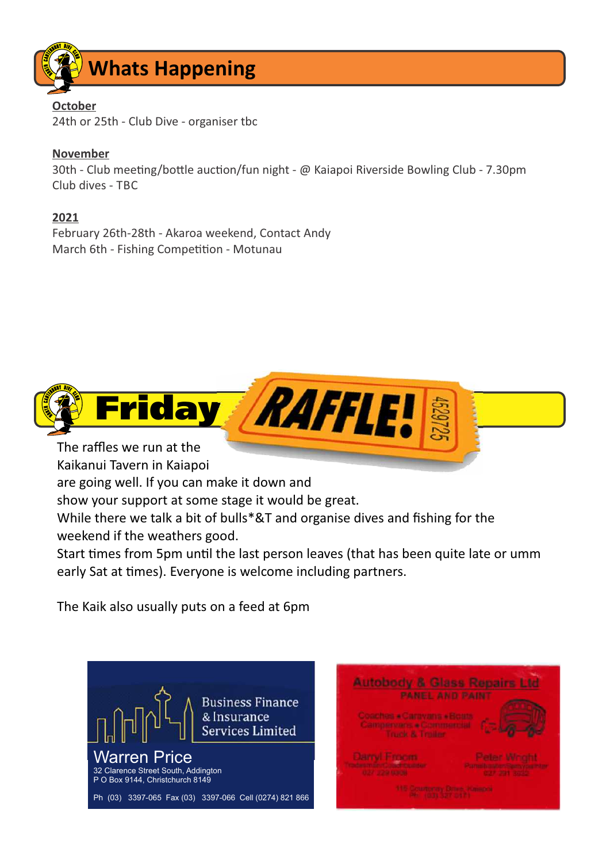

#### **October**

24th or 25th - Club Dive - organiser tbc

#### **November**

30th - Club meeting/bottle auction/fun night - @ Kaiapoi Riverside Bowling Club - 7.30pm Club dives - TBC

**2021**

February 26th-28th - Akaroa weekend, Contact Andy March 6th - Fishing Competition - Motunau



Kaikanui Tavern in Kaiapoi

are going well. If you can make it down and

show your support at some stage it would be great.

While there we talk a bit of bulls\*&T and organise dives and fishing for the weekend if the weathers good.

Start times from 5pm until the last person leaves (that has been quite late or umm early Sat at times). Everyone is welcome including partners.

The Kaik also usually puts on a feed at 6pm



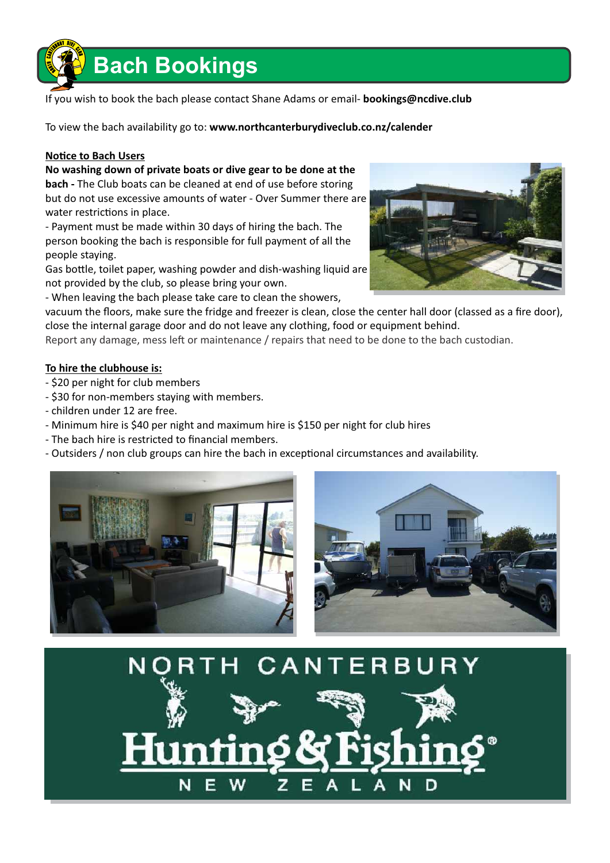

If you wish to book the bach please contact Shane Adams or email- **bookings@ncdive.club**

To view the bach availability go to: **www.northcanterburydiveclub.co.nz/calender**

#### **Notice to Bach Users**

**No washing down of private boats or dive gear to be done at the bach -** The Club boats can be cleaned at end of use before storing but do not use excessive amounts of water - Over Summer there are water restrictions in place.

- Payment must be made within 30 days of hiring the bach. The person booking the bach is responsible for full payment of all the people staying.

Gas bottle, toilet paper, washing powder and dish-washing liquid are not provided by the club, so please bring your own.

- When leaving the bach please take care to clean the showers,

vacuum the floors, make sure the fridge and freezer is clean, close the center hall door (classed as a fire door), close the internal garage door and do not leave any clothing, food or equipment behind.

Report any damage, mess left or maintenance / repairs that need to be done to the bach custodian.

#### **To hire the clubhouse is:**

- \$20 per night for club members

- \$30 for non-members staying with members.
- children under 12 are free.
- Minimum hire is \$40 per night and maximum hire is \$150 per night for club hires
- The bach hire is restricted to financial members.
- Outsiders / non club groups can hire the bach in exceptional circumstances and availability.







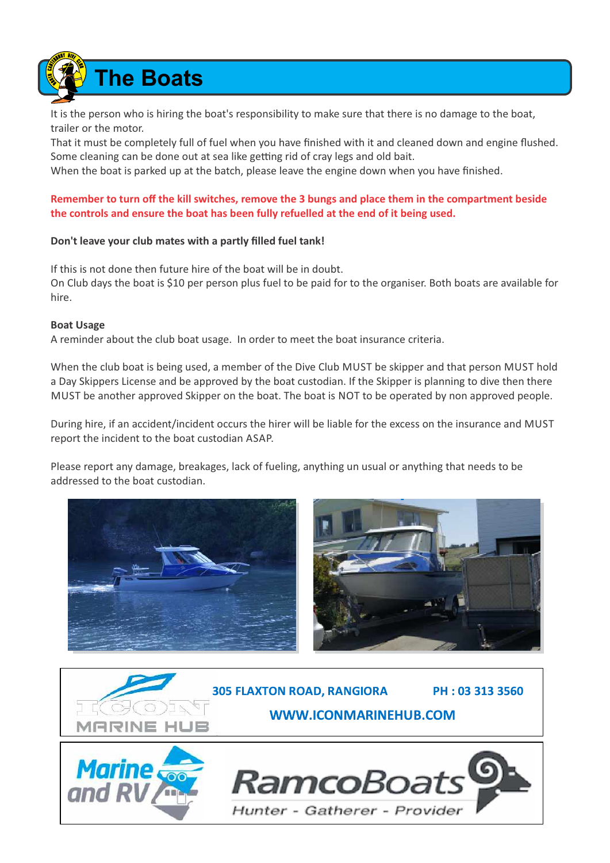**The Boats**

It is the person who is hiring the boat's responsibility to make sure that there is no damage to the boat, trailer or the motor.

That it must be completely full of fuel when you have finished with it and cleaned down and engine flushed. Some cleaning can be done out at sea like getting rid of cray legs and old bait.

When the boat is parked up at the batch, please leave the engine down when you have finished.

#### **Remember to turn off the kill switches, remove the 3 bungs and place them in the compartment beside the controls and ensure the boat has been fully refuelled at the end of it being used.**

#### **Don't leave your club mates with a partly filled fuel tank!**

If this is not done then future hire of the boat will be in doubt. On Club days the boat is \$10 per person plus fuel to be paid for to the organiser. Both boats are available for hire.

#### **Boat Usage**

A reminder about the club boat usage. In order to meet the boat insurance criteria.

When the club boat is being used, a member of the Dive Club MUST be skipper and that person MUST hold a Day Skippers License and be approved by the boat custodian. If the Skipper is planning to dive then there MUST be another approved Skipper on the boat. The boat is NOT to be operated by non approved people.

During hire, if an accident/incident occurs the hirer will be liable for the excess on the insurance and MUST report the incident to the boat custodian ASAP.

Please report any damage, breakages, lack of fueling, anything un usual or anything that needs to be addressed to the boat custodian.